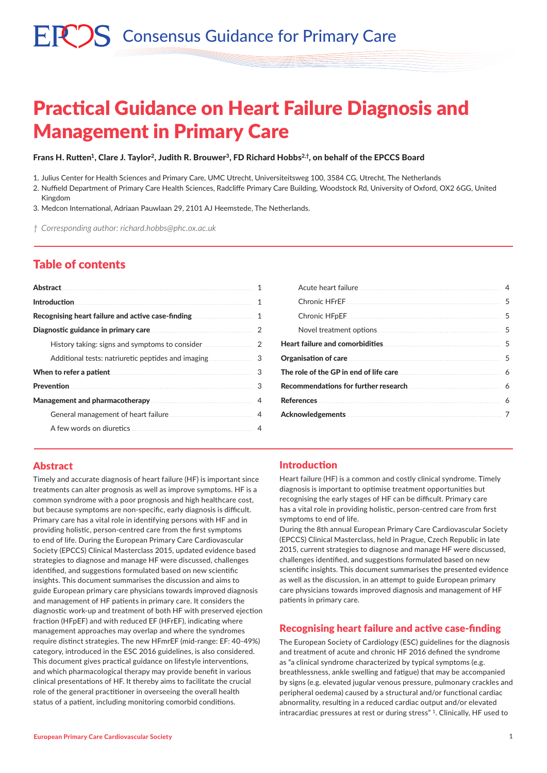# $\mathbb{R}^n$ ) S Consensus Guidance for Primary Care

# Practical Guidance on Heart Failure Diagnosis and Management in Primary Care

#### Frans H. Rutten<sup>1</sup>, Clare J. Taylor<sup>2</sup>, Judith R. Brouwer<sup>3</sup>, FD Richard Hobbs<sup>2,†</sup>, on behalf of the EPCCS Board

1. Julius Center for Health Sciences and Primary Care, UMC Utrecht, Universiteitsweg 100, 3584 CG, Utrecht, The Netherlands

2. Nuffield Department of Primary Care Health Sciences, Radcliffe Primary Care Building, Woodstock Rd, University of Oxford, OX2 6GG, United Kingdom

3. Medcon International, Adriaan Pauwlaan 29, 2101 AJ Heemstede, The Netherlands.

*† Corresponding author: richard.hobbs@phc.ox.ac.uk*

# Table of contents

| Abstract and the community of the contract of the contract of the contract of the contract of the contract of the contract of the contract of the contract of the contract of the contract of the contract of the contract of |   |
|-------------------------------------------------------------------------------------------------------------------------------------------------------------------------------------------------------------------------------|---|
|                                                                                                                                                                                                                               | 1 |
|                                                                                                                                                                                                                               |   |
|                                                                                                                                                                                                                               |   |
|                                                                                                                                                                                                                               |   |
|                                                                                                                                                                                                                               |   |
| When to refer a patient <b>Exercise Activity</b> of the <b>When</b> to refer a patient                                                                                                                                        | 3 |
|                                                                                                                                                                                                                               | 3 |
|                                                                                                                                                                                                                               |   |
| General management of heart failure                                                                                                                                                                                           |   |
|                                                                                                                                                                                                                               | 4 |

| Organisation of care <b>Constitution of care</b> 5                                                            |  |
|---------------------------------------------------------------------------------------------------------------|--|
|                                                                                                               |  |
|                                                                                                               |  |
|                                                                                                               |  |
| Acknowledgements 2008 and 2008 and 2008 and 2008 and 2008 and 2008 and 2008 and 2008 and 2008 and 2008 and 20 |  |
|                                                                                                               |  |

### Abstract

Timely and accurate diagnosis of heart failure (HF) is important since treatments can alter prognosis as well as improve symptoms. HF is a common syndrome with a poor prognosis and high healthcare cost, but because symptoms are non-specific, early diagnosis is difficult. Primary care has a vital role in identifying persons with HF and in providing holistic, person-centred care from the first symptoms to end of life. During the European Primary Care Cardiovascular Society (EPCCS) Clinical Masterclass 2015, updated evidence based strategies to diagnose and manage HF were discussed, challenges identified, and suggestions formulated based on new scientific insights. This document summarises the discussion and aims to guide European primary care physicians towards improved diagnosis and management of HF patients in primary care. It considers the diagnostic work-up and treatment of both HF with preserved ejection fraction (HFpEF) and with reduced EF (HFrEF), indicating where management approaches may overlap and where the syndromes require distinct strategies. The new HFmrEF (mid-range: EF: 40-49%) category, introduced in the ESC 2016 guidelines, is also considered. This document gives practical guidance on lifestyle interventions, and which pharmacological therapy may provide benefit in various clinical presentations of HF. It thereby aims to facilitate the crucial role of the general practitioner in overseeing the overall health status of a patient, including monitoring comorbid conditions.

### Introduction

Heart failure (HF) is a common and costly clinical syndrome. Timely diagnosis is important to optimise treatment opportunities but recognising the early stages of HF can be difficult. Primary care has a vital role in providing holistic, person-centred care from first symptoms to end of life.

During the 8th annual European Primary Care Cardiovascular Society (EPCCS) Clinical Masterclass, held in Prague, Czech Republic in late 2015, current strategies to diagnose and manage HF were discussed, challenges identified, and suggestions formulated based on new scientific insights. This document summarises the presented evidence as well as the discussion, in an attempt to guide European primary care physicians towards improved diagnosis and management of HF patients in primary care.

#### Recognising heart failure and active case-finding

The European Society of Cardiology (ESC) guidelines for the diagnosis and treatment of acute and chronic HF 2016 defined the syndrome as "a clinical syndrome characterized by typical symptoms (e.g. breathlessness, ankle swelling and fatigue) that may be accompanied by signs (e.g. elevated jugular venous pressure, pulmonary crackles and peripheral oedema) caused by a structural and/or functional cardiac abnormality, resulting in a reduced cardiac output and/or elevated intracardiac pressures at rest or during stress" 1. Clinically, HF used to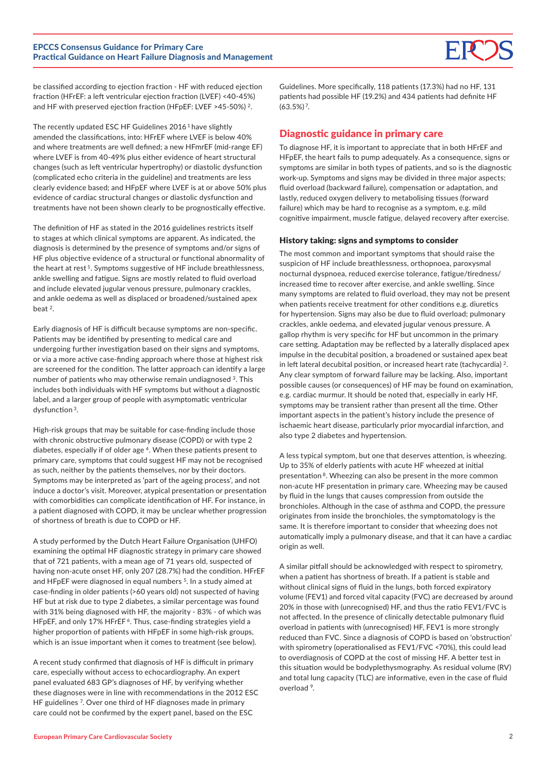

be classified according to ejection fraction - HF with reduced ejection fraction (HFrEF: a left ventricular ejection fraction (LVEF) <40-45%) and HF with preserved ejection fraction (HFpEF: LVEF >45-50%) 2.

The recently updated ESC HF Guidelines 2016<sup>1</sup> have slightly amended the classifications, into: HFrEF where LVEF is below 40% and where treatments are well defined; a new HFmrEF (mid-range EF) where LVEF is from 40-49% plus either evidence of heart structural changes (such as left ventricular hypertrophy) or diastolic dysfunction (complicated echo criteria in the guideline) and treatments are less clearly evidence based; and HFpEF where LVEF is at or above 50% plus evidence of cardiac structural changes or diastolic dysfunction and treatments have not been shown clearly to be prognostically effective.

The definition of HF as stated in the 2016 guidelines restricts itself to stages at which clinical symptoms are apparent. As indicated, the diagnosis is determined by the presence of symptoms and/or signs of HF plus objective evidence of a structural or functional abnormality of the heart at rest 1. Symptoms suggestive of HF include breathlessness, ankle swelling and fatigue. Signs are mostly related to fluid overload and include elevated jugular venous pressure, pulmonary crackles, and ankle oedema as well as displaced or broadened/sustained apex beat 2.

Early diagnosis of HF is difficult because symptoms are non-specific. Patients may be identified by presenting to medical care and undergoing further investigation based on their signs and symptoms, or via a more active case-finding approach where those at highest risk are screened for the condition. The latter approach can identify a large number of patients who may otherwise remain undiagnosed 3. This includes both individuals with HF symptoms but without a diagnostic label, and a larger group of people with asymptomatic ventricular dysfunction 3.

High-risk groups that may be suitable for case-finding include those with chronic obstructive pulmonary disease (COPD) or with type 2 diabetes, especially if of older age <sup>4</sup>. When these patients present to primary care, symptoms that could suggest HF may not be recognised as such, neither by the patients themselves, nor by their doctors. Symptoms may be interpreted as 'part of the ageing process', and not induce a doctor's visit. Moreover, atypical presentation or presentation with comorbidities can complicate identification of HF. For instance, in a patient diagnosed with COPD, it may be unclear whether progression of shortness of breath is due to COPD or HF.

A study performed by the Dutch Heart Failure Organisation (UHFO) examining the optimal HF diagnostic strategy in primary care showed that of 721 patients, with a mean age of 71 years old, suspected of having non-acute onset HF, only 207 (28.7%) had the condition. HFrEF and HFpEF were diagnosed in equal numbers <sup>5</sup>. In a study aimed at case-finding in older patients (>60 years old) not suspected of having HF but at risk due to type 2 diabetes, a similar percentage was found with 31% being diagnosed with HF, the majority - 83% - of which was HFpEF, and only 17% HFrEF<sup>6</sup>. Thus, case-finding strategies yield a higher proportion of patients with HFpEF in some high-risk groups, which is an issue important when it comes to treatment (see below).

A recent study confirmed that diagnosis of HF is difficult in primary care, especially without access to echocardiography. An expert panel evaluated 683 GP's diagnoses of HF, by verifying whether these diagnoses were in line with recommendations in the 2012 ESC HF guidelines <sup>7</sup>. Over one third of HF diagnoses made in primary care could not be confirmed by the expert panel, based on the ESC

Guidelines. More specifically, 118 patients (17.3%) had no HF, 131 patients had possible HF (19.2%) and 434 patients had definite HF (63.5%) 7.

## Diagnostic guidance in primary care

To diagnose HF, it is important to appreciate that in both HFrEF and HFpEF, the heart fails to pump adequately. As a consequence, signs or symptoms are similar in both types of patients, and so is the diagnostic work-up. Symptoms and signs may be divided in three major aspects; fluid overload (backward failure), compensation or adaptation, and lastly, reduced oxygen delivery to metabolising tissues (forward failure) which may be hard to recognise as a symptom, e.g. mild cognitive impairment, muscle fatigue, delayed recovery after exercise.

#### History taking: signs and symptoms to consider

The most common and important symptoms that should raise the suspicion of HF include breathlessness, orthopnoea, paroxysmal nocturnal dyspnoea, reduced exercise tolerance, fatigue/tiredness/ increased time to recover after exercise, and ankle swelling. Since many symptoms are related to fluid overload, they may not be present when patients receive treatment for other conditions e.g. diuretics for hypertension. Signs may also be due to fluid overload; pulmonary crackles, ankle oedema, and elevated jugular venous pressure. A gallop rhythm is very specific for HF but uncommon in the primary care setting. Adaptation may be reflected by a laterally displaced apex impulse in the decubital position, a broadened or sustained apex beat in left lateral decubital position, or increased heart rate (tachycardia) 2. Any clear symptom of forward failure may be lacking. Also, important possible causes (or consequences) of HF may be found on examination, e.g. cardiac murmur. It should be noted that, especially in early HF, symptoms may be transient rather than present all the time. Other important aspects in the patient's history include the presence of ischaemic heart disease, particularly prior myocardial infarction, and also type 2 diabetes and hypertension.

A less typical symptom, but one that deserves attention, is wheezing. Up to 35% of elderly patients with acute HF wheezed at initial presentation<sup>8</sup>. Wheezing can also be present in the more common non-acute HF presentation in primary care. Wheezing may be caused by fluid in the lungs that causes compression from outside the bronchioles. Although in the case of asthma and COPD, the pressure originates from inside the bronchioles, the symptomatology is the same. It is therefore important to consider that wheezing does not automatically imply a pulmonary disease, and that it can have a cardiac origin as well.

A similar pitfall should be acknowledged with respect to spirometry, when a patient has shortness of breath. If a patient is stable and without clinical signs of fluid in the lungs, both forced expiratory volume (FEV1) and forced vital capacity (FVC) are decreased by around 20% in those with (unrecognised) HF, and thus the ratio FEV1/FVC is not affected. In the presence of clinically detectable pulmonary fluid overload in patients with (unrecognised) HF, FEV1 is more strongly reduced than FVC. Since a diagnosis of COPD is based on 'obstruction' with spirometry (operationalised as FEV1/FVC <70%), this could lead to overdiagnosis of COPD at the cost of missing HF. A better test in this situation would be bodyplethysmography. As residual volume (RV) and total lung capacity (TLC) are informative, even in the case of fluid overload 9.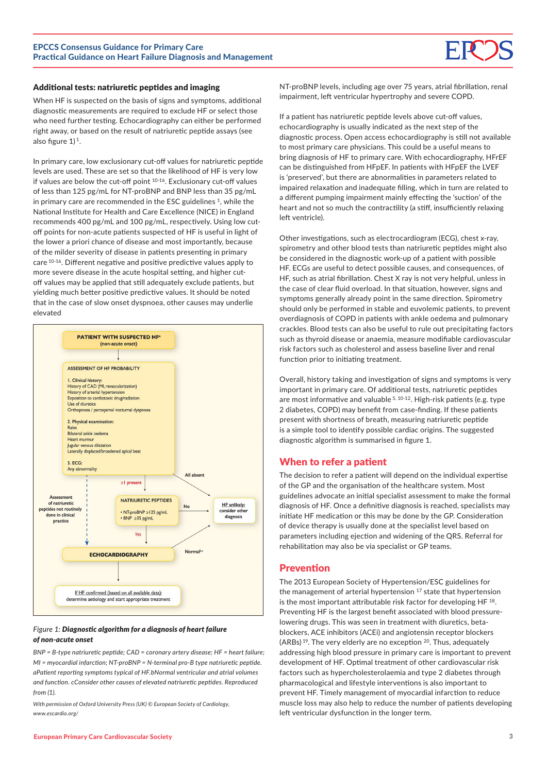

#### Additional tests: natriuretic peptides and imaging

When HF is suspected on the basis of signs and symptoms, additional diagnostic measurements are required to exclude HF or select those who need further testing. Echocardiography can either be performed right away, or based on the result of natriuretic peptide assays (see also figure  $1$ )<sup>1</sup>.

In primary care, low exclusionary cut-off values for natriuretic peptide levels are used. These are set so that the likelihood of HF is very low if values are below the cut-off point 10-16. Exclusionary cut-off values of less than 125 pg/mL for NT-proBNP and BNP less than 35 pg/mL in primary care are recommended in the ESC guidelines <sup>1</sup>, while the National Institute for Health and Care Excellence (NICE) in England recommends 400 pg/mL and 100 pg/mL, respectively. Using low cutoff points for non-acute patients suspected of HF is useful in light of the lower a priori chance of disease and most importantly, because of the milder severity of disease in patients presenting in primary care 10-16. Different negative and positive predictive values apply to more severe disease in the acute hospital setting, and higher cutoff values may be applied that still adequately exclude patients, but yielding much better positive predictive values. It should be noted that in the case of slow onset dyspnoea, other causes may underlie elevated



#### *Figure 1: Diagnostic algorithm for a diagnosis of heart failure of non-acute onset*

*BNP = B-type natriuretic peptide; CAD = coronary artery disease; HF = heart failure; MI = myocardial infarction; NT-proBNP = N-terminal pro-B type natriuretic peptide. aPatient reporting symptoms typical of HF.bNormal ventricular and atrial volumes and function. cConsider other causes of elevated natriuretic peptides. Reproduced from (1).* 

*With permission of Oxford University Press (UK) © European Society of Cardiology, www.escardio.org/* 

NT-proBNP levels, including age over 75 years, atrial fibrillation, renal impairment, left ventricular hypertrophy and severe COPD.

If a patient has natriuretic peptide levels above cut-off values, echocardiography is usually indicated as the next step of the diagnostic process. Open access echocardiography is still not available to most primary care physicians. This could be a useful means to bring diagnosis of HF to primary care. With echocardiography, HFrEF can be distinguished from HFpEF. In patients with HFpEF the LVEF is 'preserved', but there are abnormalities in parameters related to impaired relaxation and inadequate filling, which in turn are related to a different pumping impairment mainly effecting the 'suction' of the heart and not so much the contractility (a stiff, insufficiently relaxing left ventricle).

Other investigations, such as electrocardiogram (ECG), chest x-ray, spirometry and other blood tests than natriuretic peptides might also be considered in the diagnostic work-up of a patient with possible HF. ECGs are useful to detect possible causes, and consequences, of HF, such as atrial fibrillation. Chest X ray is not very helpful, unless in the case of clear fluid overload. In that situation, however, signs and symptoms generally already point in the same direction. Spirometry should only be performed in stable and euvolemic patients, to prevent overdiagnosis of COPD in patients with ankle oedema and pulmonary crackles. Blood tests can also be useful to rule out precipitating factors such as thyroid disease or anaemia, measure modifiable cardiovascular risk factors such as cholesterol and assess baseline liver and renal function prior to initiating treatment.

Overall, history taking and investigation of signs and symptoms is very important in primary care. Of additional tests, natriuretic peptides are most informative and valuable 5, 10-12. High-risk patients (e.g. type 2 diabetes, COPD) may benefit from case-finding. If these patients present with shortness of breath, measuring natriuretic peptide is a simple tool to identify possible cardiac origins. The suggested diagnostic algorithm is summarised in figure 1.

#### When to refer a patient

The decision to refer a patient will depend on the individual expertise of the GP and the organisation of the healthcare system. Most guidelines advocate an initial specialist assessment to make the formal diagnosis of HF. Once a definitive diagnosis is reached, specialists may initiate HF medication or this may be done by the GP. Consideration of device therapy is usually done at the specialist level based on parameters including ejection and widening of the QRS. Referral for rehabilitation may also be via specialist or GP teams.

#### Prevention

The 2013 European Society of Hypertension/ESC guidelines for the management of arterial hypertension 17 state that hypertension is the most important attributable risk factor for developing HF 18. Preventing HF is the largest benefit associated with blood pressurelowering drugs. This was seen in treatment with diuretics, betablockers, ACE inhibitors (ACEi) and angiotensin receptor blockers (ARBs) 19. The very elderly are no exception 20. Thus, adequately addressing high blood pressure in primary care is important to prevent development of HF. Optimal treatment of other cardiovascular risk factors such as hypercholesterolaemia and type 2 diabetes through pharmacological and lifestyle interventions is also important to prevent HF. Timely management of myocardial infarction to reduce muscle loss may also help to reduce the number of patients developing left ventricular dysfunction in the longer term.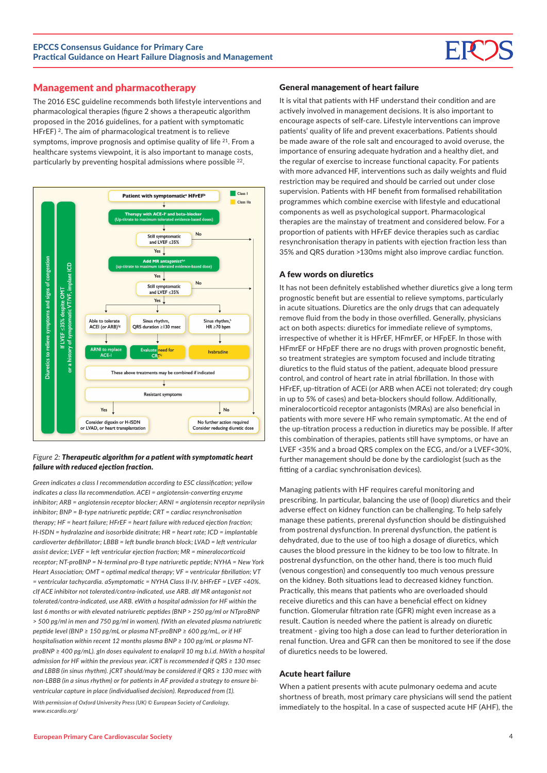#### Management and pharmacotherapy

The 2016 ESC guideline recommends both lifestyle interventions and pharmacological therapies (figure 2 shows a therapeutic algorithm proposed in the 2016 guidelines, for a patient with symptomatic HFrEF)<sup>2</sup>. The aim of pharmacological treatment is to relieve symptoms, improve prognosis and optimise quality of life 21. From a healthcare systems viewpoint, it is also important to manage costs, particularly by preventing hospital admissions where possible 22.



#### *Figure 2: Therapeutic algorithm for a patient with symptomatic heart failure with reduced ejection fraction.*

*Green indicates a class I recommendation according to ESC classification; yellow indicates a class IIa recommendation. ACEI = angiotensin-converting enzyme inhibitor; ARB = angiotensin receptor blocker; ARNI = angiotensin receptor neprilysin inhibitor; BNP = B-type natriuretic peptide; CRT = cardiac resynchronisation therapy; HF = heart failure; HFrEF = heart failure with reduced ejection fraction; H-ISDN = hydralazine and isosorbide dinitrate; HR = heart rate; ICD = implantable cardioverter defibrillator; LBBB = left bundle branch block; LVAD = left ventricular assist device; LVEF = left ventricular ejection fraction; MR = mineralocorticoid receptor; NT-proBNP = N-terminal pro-B type natriuretic peptide; NYHA = New York Heart Association; OMT = optimal medical therapy; VF = ventricular fibrillation; VT = ventricular tachycardia. aSymptomatic = NYHA Class II-IV. bHFrEF = LVEF <40%. cIf ACE inhibitor not tolerated/contra-indicated, use ARB. dIf MR antagonist not tolerated/contra-indicated, use ARB. eWith a hospital admission for HF within the last 6 months or with elevated natriuretic peptides (BNP > 250 pg/ml or NTproBNP > 500 pg/ml in men and 750 pg/ml in women). fWith an elevated plasma natriuretic peptide level (BNP ≥ 150 pg/mL or plasma NT-proBNP ≥ 600 pg/mL, or if HF hospitalisation within recent 12 months plasma BNP ≥ 100 pg/mL or plasma NTproBNP ≥ 400 pg/mL). gIn doses equivalent to enalapril 10 mg b.i.d. hWith a hospital admission for HF within the previous year. iCRT is recommended if QRS ≥ 130 msec and LBBB (in sinus rhythm). jCRT should/may be considered if QRS ≥ 130 msec with non-LBBB (in a sinus rhythm) or for patients in AF provided a strategy to ensure biventricular capture in place (individualised decision). Reproduced from (1).* 

*With permission of Oxford University Press (UK) © European Society of Cardiology, www.escardio.org/*

#### General management of heart failure

It is vital that patients with HF understand their condition and are actively involved in management decisions. It is also important to encourage aspects of self-care. Lifestyle interventions can improve patients' quality of life and prevent exacerbations. Patients should be made aware of the role salt and encouraged to avoid overuse, the importance of ensuring adequate hydration and a healthy diet, and the regular of exercise to increase functional capacity. For patients with more advanced HF, interventions such as daily weights and fluid restriction may be required and should be carried out under close supervision. Patients with HF benefit from formalised rehabilitation programmes which combine exercise with lifestyle and educational components as well as psychological support. Pharmacological therapies are the mainstay of treatment and considered below. For a proportion of patients with HFrEF device therapies such as cardiac resynchronisation therapy in patients with ejection fraction less than 35% and QRS duration >130ms might also improve cardiac function.

#### A few words on diuretics

It has not been definitely established whether diuretics give a long term prognostic benefit but are essential to relieve symptoms, particularly in acute situations. Diuretics are the only drugs that can adequately remove fluid from the body in those overfilled. Generally, physicians act on both aspects: diuretics for immediate relieve of symptoms, irrespective of whether it is HFrEF, HFmrEF, or HFpEF. In those with HFmrEF or HFpEF there are no drugs with proven prognostic benefit, so treatment strategies are symptom focused and include titrating diuretics to the fluid status of the patient, adequate blood pressure control, and control of heart rate in atrial fibrillation. In those with HFrEF, up-titration of ACEi (or ARB when ACEi not tolerated; dry cough in up to 5% of cases) and beta-blockers should follow. Additionally, mineralocorticoid receptor antagonists (MRAs) are also beneficial in patients with more severe HF who remain symptomatic. At the end of the up-titration process a reduction in diuretics may be possible. If after this combination of therapies, patients still have symptoms, or have an LVEF <35% and a broad QRS complex on the ECG, and/or a LVEF<30%, further management should be done by the cardiologist (such as the fitting of a cardiac synchronisation devices).

Managing patients with HF requires careful monitoring and prescribing. In particular, balancing the use of (loop) diuretics and their adverse effect on kidney function can be challenging. To help safely manage these patients, prerenal dysfunction should be distinguished from postrenal dysfunction. In prerenal dysfunction, the patient is dehydrated, due to the use of too high a dosage of diuretics, which causes the blood pressure in the kidney to be too low to filtrate. In postrenal dysfunction, on the other hand, there is too much fluid (venous congestion) and consequently too much venous pressure on the kidney. Both situations lead to decreased kidney function. Practically, this means that patients who are overloaded should receive diuretics and this can have a beneficial effect on kidney function. Glomerular filtration rate (GFR) might even increase as a result. Caution is needed where the patient is already on diuretic treatment - giving too high a dose can lead to further deterioration in renal function. Urea and GFR can then be monitored to see if the dose of diuretics needs to be lowered.

#### Acute heart failure

When a patient presents with acute pulmonary oedema and acute shortness of breath, most primary care physicians will send the patient immediately to the hospital. In a case of suspected acute HF (AHF), the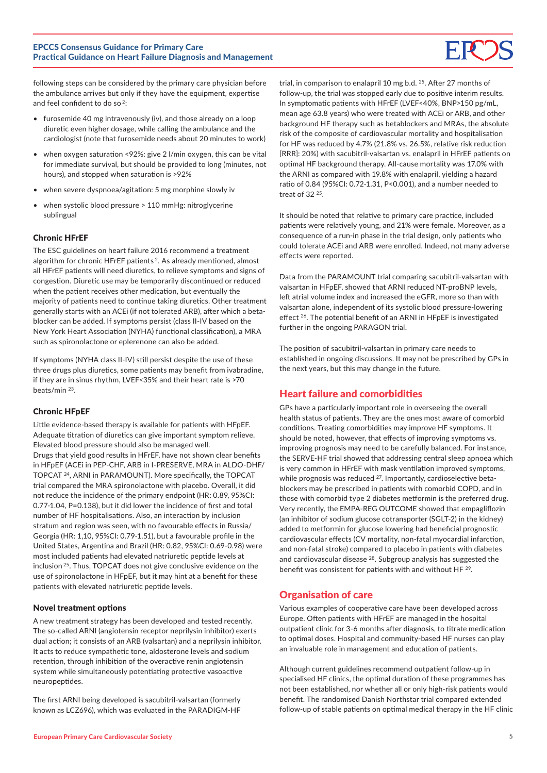

following steps can be considered by the primary care physician before the ambulance arrives but only if they have the equipment, expertise and feel confident to do so<sup>2</sup>:

- furosemide 40 mg intravenously (iv), and those already on a loop diuretic even higher dosage, while calling the ambulance and the cardiologist (note that furosemide needs about 20 minutes to work)
- when oxygen saturation <92%: give 2 l/min oxygen, this can be vital for immediate survival, but should be provided to long (minutes, not hours), and stopped when saturation is >92%
- when severe dyspnoea/agitation: 5 mg morphine slowly iv
- when systolic blood pressure > 110 mmHg: nitroglycerine sublingual

#### Chronic HFrEF

The ESC guidelines on heart failure 2016 recommend a treatment algorithm for chronic HFrEF patients<sup>2</sup>. As already mentioned, almost all HFrEF patients will need diuretics, to relieve symptoms and signs of congestion. Diuretic use may be temporarily discontinued or reduced when the patient receives other medication, but eventually the majority of patients need to continue taking diuretics. Other treatment generally starts with an ACEi (if not tolerated ARB), after which a betablocker can be added. If symptoms persist (class II-IV based on the New York Heart Association (NYHA) functional classification), a MRA such as spironolactone or eplerenone can also be added.

If symptoms (NYHA class II-IV) still persist despite the use of these three drugs plus diuretics, some patients may benefit from ivabradine, if they are in sinus rhythm, LVEF<35% and their heart rate is >70 beats/min 23.

#### Chronic HFpEF

Little evidence-based therapy is available for patients with HFpEF. Adequate titration of diuretics can give important symptom relieve. Elevated blood pressure should also be managed well. Drugs that yield good results in HFrEF, have not shown clear benefits in HFpEF (ACEi in PEP-CHF, ARB in I-PRESERVE, MRA in ALDO-DHF/ TOPCAT 24, ARNI in PARAMOUNT). More specifically, the TOPCAT trial compared the MRA spironolactone with placebo. Overall, it did not reduce the incidence of the primary endpoint (HR: 0.89, 95%CI: 0.77-1.04, P=0.138), but it did lower the incidence of first and total number of HF hospitalisations. Also, an interaction by inclusion stratum and region was seen, with no favourable effects in Russia/ Georgia (HR: 1,10, 95%CI: 0.79-1.51), but a favourable profile in the United States, Argentina and Brazil (HR: 0.82, 95%CI: 0.69-0.98) were most included patients had elevated natriuretic peptide levels at inclusion 25. Thus, TOPCAT does not give conclusive evidence on the use of spironolactone in HFpEF, but it may hint at a benefit for these patients with elevated natriuretic peptide levels.

#### Novel treatment options

A new treatment strategy has been developed and tested recently. The so-called ARNI (angiotensin receptor neprilysin inhibitor) exerts dual action; it consists of an ARB (valsartan) and a neprilysin inhibitor. It acts to reduce sympathetic tone, aldosterone levels and sodium retention, through inhibition of the overactive renin angiotensin system while simultaneously potentiating protective vasoactive neuropeptides.

The first ARNI being developed is sacubitril-valsartan (formerly known as LCZ696), which was evaluated in the PARADIGM-HF

trial, in comparison to enalapril 10 mg b.d. 25. After 27 months of follow-up, the trial was stopped early due to positive interim results. In symptomatic patients with HFrEF (LVEF<40%, BNP>150 pg/mL, mean age 63.8 years) who were treated with ACEi or ARB, and other background HF therapy such as betablockers and MRAs, the absolute risk of the composite of cardiovascular mortality and hospitalisation for HF was reduced by 4.7% (21.8% vs. 26.5%, relative risk reduction [RRR]: 20%) with sacubitril-valsartan vs. enalapril in HFrEF patients on optimal HF background therapy. All-cause mortality was 17.0% with the ARNI as compared with 19.8% with enalapril, yielding a hazard ratio of 0.84 (95%CI: 0.72-1.31, P<0.001), and a number needed to treat of  $32^{25}$ 

It should be noted that relative to primary care practice, included patients were relatively young, and 21% were female. Moreover, as a consequence of a run-in phase in the trial design, only patients who could tolerate ACEi and ARB were enrolled. Indeed, not many adverse effects were reported.

Data from the PARAMOUNT trial comparing sacubitril-valsartan with valsartan in HFpEF, showed that ARNI reduced NT-proBNP levels, left atrial volume index and increased the eGFR, more so than with valsartan alone, independent of its systolic blood pressure-lowering effect <sup>26</sup>. The potential benefit of an ARNI in HFpEF is investigated further in the ongoing PARAGON trial.

The position of sacubitril-valsartan in primary care needs to established in ongoing discussions. It may not be prescribed by GPs in the next years, but this may change in the future.

### Heart failure and comorbidities

GPs have a particularly important role in overseeing the overall health status of patients. They are the ones most aware of comorbid conditions. Treating comorbidities may improve HF symptoms. It should be noted, however, that effects of improving symptoms vs. improving prognosis may need to be carefully balanced. For instance, the SERVE-HF trial showed that addressing central sleep apnoea which is very common in HFrEF with mask ventilation improved symptoms, while prognosis was reduced <sup>27</sup>. Importantly, cardioselective betablockers may be prescribed in patients with comorbid COPD, and in those with comorbid type 2 diabetes metformin is the preferred drug. Very recently, the EMPA-REG OUTCOME showed that empagliflozin (an inhibitor of sodium glucose cotransporter (SGLT-2) in the kidney) added to metformin for glucose lowering had beneficial prognostic cardiovascular effects (CV mortality, non-fatal myocardial infarction, and non-fatal stroke) compared to placebo in patients with diabetes and cardiovascular disease 28. Subgroup analysis has suggested the benefit was consistent for patients with and without HF 29.

### Organisation of care

Various examples of cooperative care have been developed across Europe. Often patients with HFrEF are managed in the hospital outpatient clinic for 3-6 months after diagnosis, to titrate medication to optimal doses. Hospital and community-based HF nurses can play an invaluable role in management and education of patients.

Although current guidelines recommend outpatient follow-up in specialised HF clinics, the optimal duration of these programmes has not been established, nor whether all or only high-risk patients would benefit. The randomised Danish Northstar trial compared extended follow-up of stable patients on optimal medical therapy in the HF clinic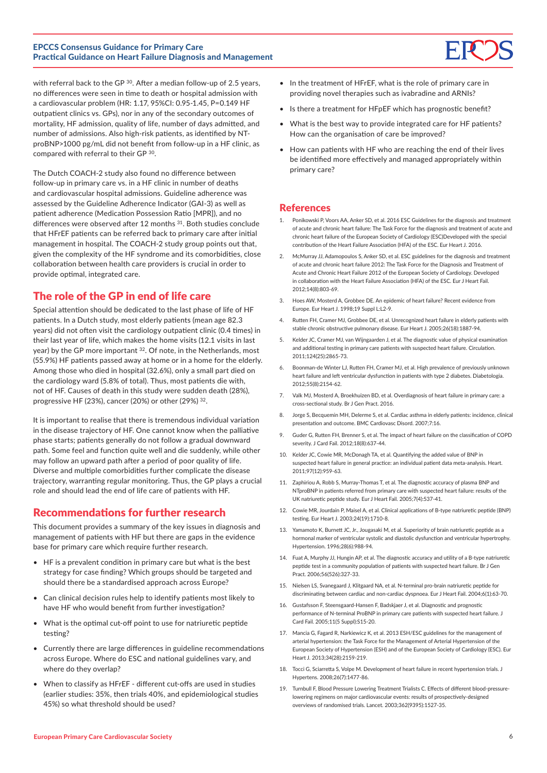

The Dutch COACH-2 study also found no difference between follow-up in primary care vs. in a HF clinic in number of deaths and cardiovascular hospital admissions. Guideline adherence was assessed by the Guideline Adherence Indicator (GAI-3) as well as patient adherence (Medication Possession Ratio [MPR]), and no differences were observed after 12 months <sup>31</sup>. Both studies conclude that HFrEF patients can be referred back to primary care after initial management in hospital. The COACH-2 study group points out that, given the complexity of the HF syndrome and its comorbidities, close collaboration between health care providers is crucial in order to provide optimal, integrated care.

# The role of the GP in end of life care

Special attention should be dedicated to the last phase of life of HF patients. In a Dutch study, most elderly patients (mean age 82.3 years) did not often visit the cardiology outpatient clinic (0.4 times) in their last year of life, which makes the home visits (12.1 visits in last year) by the GP more important <sup>32</sup>. Of note, in the Netherlands, most (55.9%) HF patients passed away at home or in a home for the elderly. Among those who died in hospital (32.6%), only a small part died on the cardiology ward (5.8% of total). Thus, most patients die with, not of HF. Causes of death in this study were sudden death (28%), progressive HF (23%), cancer (20%) or other (29%) 32.

It is important to realise that there is tremendous individual variation in the disease trajectory of HF. One cannot know when the palliative phase starts; patients generally do not follow a gradual downward path. Some feel and function quite well and die suddenly, while other may follow an upward path after a period of poor quality of life. Diverse and multiple comorbidities further complicate the disease trajectory, warranting regular monitoring. Thus, the GP plays a crucial role and should lead the end of life care of patients with HF.

# Recommendations for further research

This document provides a summary of the key issues in diagnosis and management of patients with HF but there are gaps in the evidence base for primary care which require further research.

- HF is a prevalent condition in primary care but what is the best strategy for case finding? Which groups should be targeted and should there be a standardised approach across Europe?
- Can clinical decision rules help to identify patients most likely to have HF who would benefit from further investigation?
- What is the optimal cut-off point to use for natriuretic peptide testing?
- Currently there are large differences in guideline recommendations across Europe. Where do ESC and national guidelines vary, and where do they overlap?
- When to classify as HFrEF different cut-offs are used in studies (earlier studies: 35%, then trials 40%, and epidemiological studies 45%) so what threshold should be used?
- In the treatment of HFrEF, what is the role of primary care in providing novel therapies such as ivabradine and ARNIs?
- Is there a treatment for HFpEF which has prognostic benefit?
- What is the best way to provide integrated care for HF patients? How can the organisation of care be improved?
- How can patients with HF who are reaching the end of their lives be identified more effectively and managed appropriately within primary care?

#### References

- 1. Ponikowski P, Voors AA, Anker SD, et al. 2016 ESC Guidelines for the diagnosis and treatment of acute and chronic heart failure: The Task Force for the diagnosis and treatment of acute and chronic heart failure of the European Society of Cardiology (ESC)Developed with the special contribution of the Heart Failure Association (HFA) of the ESC. Eur Heart J. 2016.
- 2. McMurray JJ, Adamopoulos S, Anker SD, et al. ESC guidelines for the diagnosis and treatment of acute and chronic heart failure 2012: The Task Force for the Diagnosis and Treatment of Acute and Chronic Heart Failure 2012 of the European Society of Cardiology. Developed in collaboration with the Heart Failure Association (HFA) of the ESC. Eur J Heart Fail. 2012;14(8):803-69.
- 3. Hoes AW, Mosterd A, Grobbee DE. An epidemic of heart failure? Recent evidence from Europe. Eur Heart J. 1998;19 Suppl L:L2-9.
- 4. Rutten FH, Cramer MJ, Grobbee DE, et al. Unrecognized heart failure in elderly patients with stable chronic obstructive pulmonary disease. Eur Heart J. 2005;26(18):1887-94.
- 5. Kelder JC, Cramer MJ, van Wijngaarden J, et al. The diagnostic value of physical examination and additional testing in primary care patients with suspected heart failure. Circulation. 2011;124(25):2865-73.
- 6. Boonman-de Winter LJ, Rutten FH, Cramer MJ, et al. High prevalence of previously unknown heart failure and left ventricular dysfunction in patients with type 2 diabetes. Diabetologia. 2012;55(8):2154-62.
- 7. Valk MJ, Mosterd A, Broekhuizen BD, et al. Overdiagnosis of heart failure in primary care: a cross-sectional study. Br J Gen Pract. 2016.
- 8. Jorge S, Becquemin MH, Delerme S, et al. Cardiac asthma in elderly patients: incidence, clinical presentation and outcome. BMC Cardiovasc Disord. 2007;7:16.
- 9. Guder G, Rutten FH, Brenner S, et al. The impact of heart failure on the classification of COPD severity. J Card Fail. 2012;18(8):637-44.
- 10. Kelder JC, Cowie MR, McDonagh TA, et al. Quantifying the added value of BNP in suspected heart failure in general practice: an individual patient data meta-analysis. Heart. 2011;97(12):959-63.
- 11. Zaphiriou A, Robb S, Murray-Thomas T, et al. The diagnostic accuracy of plasma BNP and NTproBNP in patients referred from primary care with suspected heart failure: results of the UK natriuretic peptide study. Eur J Heart Fail. 2005;7(4):537-41.
- 12. Cowie MR, Jourdain P, Maisel A, et al. Clinical applications of B-type natriuretic peptide (BNP) testing. Eur Heart J. 2003;24(19):1710-8.
- 13. Yamamoto K, Burnett JC, Jr., Jougasaki M, et al. Superiority of brain natriuretic peptide as a hormonal marker of ventricular systolic and diastolic dysfunction and ventricular hypertrophy. Hypertension. 1996;28(6):988-94.
- 14. Fuat A, Murphy JJ, Hungin AP, et al. The diagnostic accuracy and utility of a B-type natriuretic peptide test in a community population of patients with suspected heart failure. Br J Gen Pract. 2006;56(526):327-33.
- 15. Nielsen LS, Svanegaard J, Klitgaard NA, et al. N-terminal pro-brain natriuretic peptide for discriminating between cardiac and non-cardiac dyspnoea. Eur J Heart Fail. 2004;6(1):63-70.
- 16. Gustafsson F, Steensgaard-Hansen F, Badskjaer J, et al. Diagnostic and prognostic performance of N-terminal ProBNP in primary care patients with suspected heart failure. J Card Fail. 2005;11(5 Suppl):S15-20.
- 17. Mancia G, Fagard R, Narkiewicz K, et al. 2013 ESH/ESC guidelines for the management of arterial hypertension: the Task Force for the Management of Arterial Hypertension of the European Society of Hypertension (ESH) and of the European Society of Cardiology (ESC). Eur Heart J. 2013;34(28):2159-219.
- 18. Tocci G, Sciarretta S, Volpe M. Development of heart failure in recent hypertension trials. J Hypertens. 2008;26(7):1477-86.
- 19. Turnbull F, Blood Pressure Lowering Treatment Trialists C. Effects of different blood-pressurelowering regimens on major cardiovascular events: results of prospectively-designed overviews of randomised trials. Lancet. 2003;362(9395):1527-35.